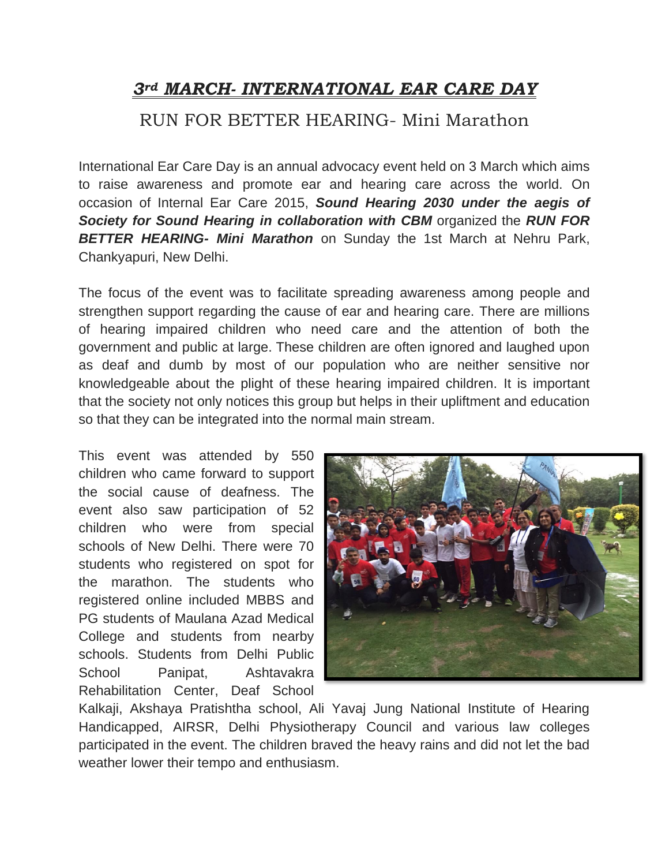# *3rd MARCH- INTERNATIONAL EAR CARE DAY*

### RUN FOR BETTER HEARING- Mini Marathon

International Ear Care Day is an annual advocacy event held on 3 March which aims to raise awareness and promote ear and hearing care across the world. On occasion of Internal Ear Care 2015, *Sound Hearing 2030 under the aegis of Society for Sound Hearing in collaboration with CBM* organized the *RUN FOR BETTER HEARING- Mini Marathon* on Sunday the 1st March at Nehru Park, Chankyapuri, New Delhi.

The focus of the event was to facilitate spreading awareness among people and strengthen support regarding the cause of ear and hearing care. There are millions of hearing impaired children who need care and the attention of both the government and public at large. These children are often ignored and laughed upon as deaf and dumb by most of our population who are neither sensitive nor knowledgeable about the plight of these hearing impaired children. It is important that the society not only notices this group but helps in their upliftment and education so that they can be integrated into the normal main stream.

This event was attended by 550 children who came forward to support the social cause of deafness. The event also saw participation of 52 children who were from special schools of New Delhi. There were 70 students who registered on spot for the marathon. The students who registered online included MBBS and PG students of Maulana Azad Medical College and students from nearby schools. Students from Delhi Public School Panipat, Ashtavakra Rehabilitation Center, Deaf School



Kalkaji, Akshaya Pratishtha school, Ali Yavaj Jung National Institute of Hearing Handicapped, AIRSR, Delhi Physiotherapy Council and various law colleges participated in the event. The children braved the heavy rains and did not let the bad weather lower their tempo and enthusiasm.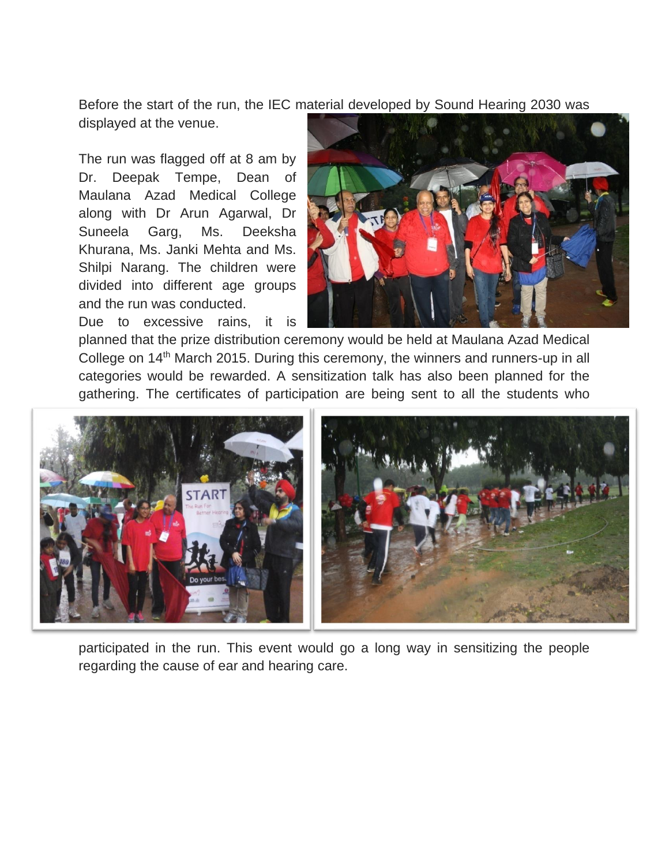Before the start of the run, the IEC material developed by Sound Hearing 2030 was

displayed at the venue.

The run was flagged off at 8 am by Dr. Deepak Tempe, Dean of Maulana Azad Medical College along with Dr Arun Agarwal, Dr Suneela Garg, Ms. Deeksha Khurana, Ms. Janki Mehta and Ms. Shilpi Narang. The children were divided into different age groups and the run was conducted.

Due to excessive rains, it is



planned that the prize distribution ceremony would be held at Maulana Azad Medical College on 14<sup>th</sup> March 2015. During this ceremony, the winners and runners-up in all categories would be rewarded. A sensitization talk has also been planned for the gathering. The certificates of participation are being sent to all the students who



participated in the run. This event would go a long way in sensitizing the people regarding the cause of ear and hearing care.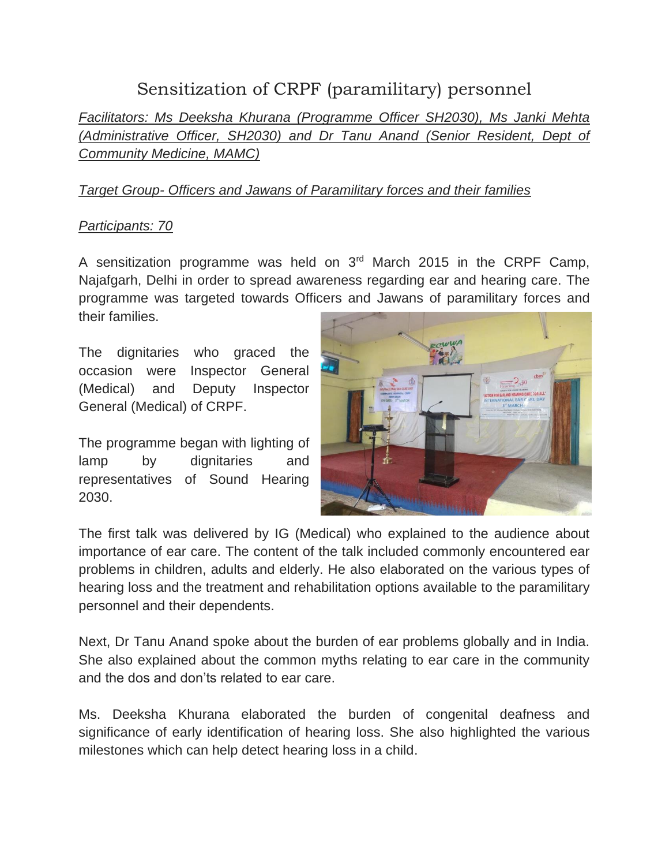# Sensitization of CRPF (paramilitary) personnel

*Facilitators: Ms Deeksha Khurana (Programme Officer SH2030), Ms Janki Mehta (Administrative Officer, SH2030) and Dr Tanu Anand (Senior Resident, Dept of Community Medicine, MAMC)*

### *Target Group- Officers and Jawans of Paramilitary forces and their families*

### *Participants: 70*

A sensitization programme was held on  $3<sup>rd</sup>$  March 2015 in the CRPF Camp, Najafgarh, Delhi in order to spread awareness regarding ear and hearing care. The programme was targeted towards Officers and Jawans of paramilitary forces and their families.

The dignitaries who graced the occasion were Inspector General (Medical) and Deputy Inspector General (Medical) of CRPF.

The programme began with lighting of lamp by dignitaries and representatives of Sound Hearing 2030.



The first talk was delivered by IG (Medical) who explained to the audience about importance of ear care. The content of the talk included commonly encountered ear problems in children, adults and elderly. He also elaborated on the various types of hearing loss and the treatment and rehabilitation options available to the paramilitary personnel and their dependents.

Next, Dr Tanu Anand spoke about the burden of ear problems globally and in India. She also explained about the common myths relating to ear care in the community and the dos and don'ts related to ear care.

Ms. Deeksha Khurana elaborated the burden of congenital deafness and significance of early identification of hearing loss. She also highlighted the various milestones which can help detect hearing loss in a child.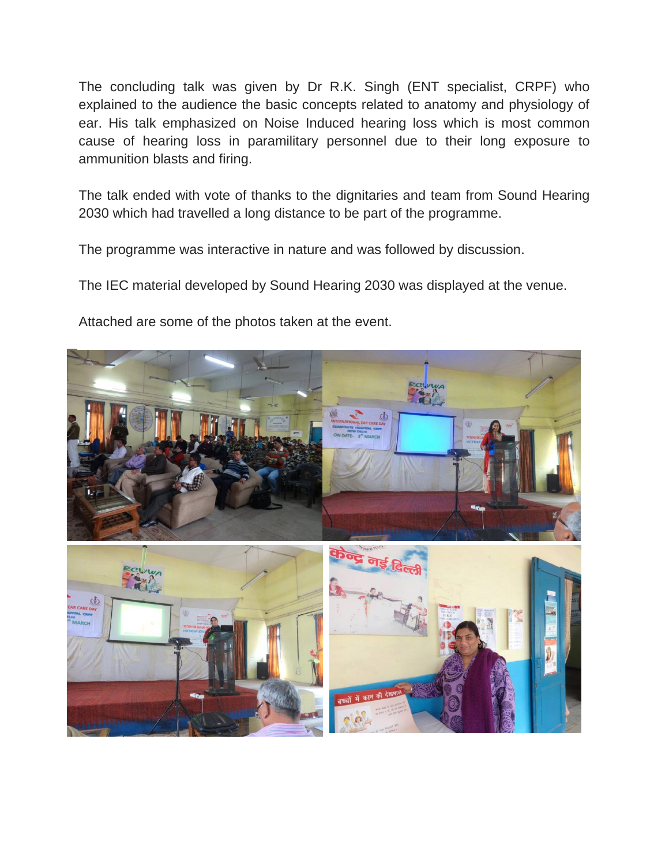The concluding talk was given by Dr R.K. Singh (ENT specialist, CRPF) who explained to the audience the basic concepts related to anatomy and physiology of ear. His talk emphasized on Noise Induced hearing loss which is most common cause of hearing loss in paramilitary personnel due to their long exposure to ammunition blasts and firing.

The talk ended with vote of thanks to the dignitaries and team from Sound Hearing 2030 which had travelled a long distance to be part of the programme.

The programme was interactive in nature and was followed by discussion.

The IEC material developed by Sound Hearing 2030 was displayed at the venue.

Attached are some of the photos taken at the event.

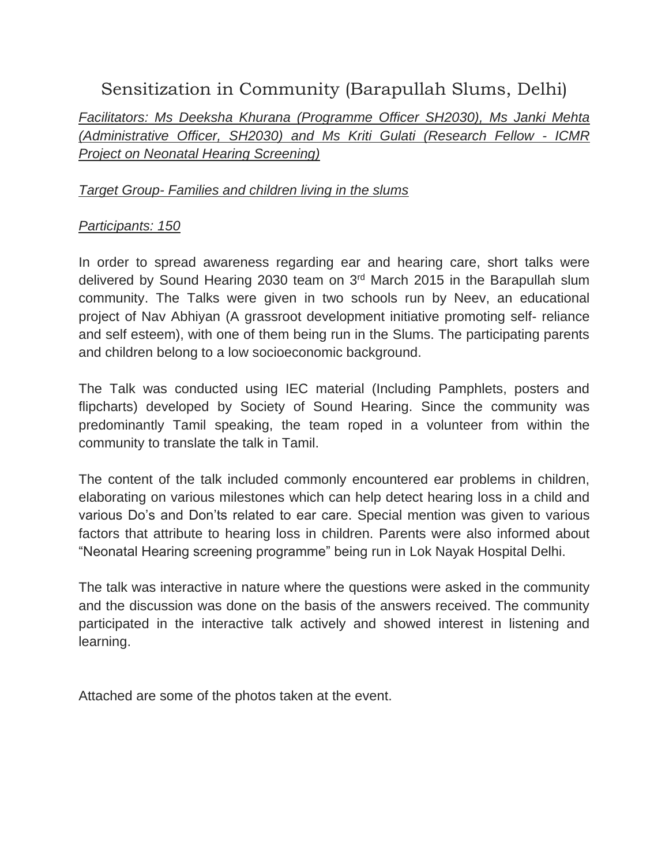# Sensitization in Community (Barapullah Slums, Delhi)

*Facilitators: Ms Deeksha Khurana (Programme Officer SH2030), Ms Janki Mehta (Administrative Officer, SH2030) and Ms Kriti Gulati (Research Fellow - ICMR Project on Neonatal Hearing Screening)*

#### *Target Group- Families and children living in the slums*

#### *Participants: 150*

In order to spread awareness regarding ear and hearing care, short talks were delivered by Sound Hearing 2030 team on 3<sup>rd</sup> March 2015 in the Barapullah slum community. The Talks were given in two schools run by Neev, an educational project of Nav Abhiyan (A grassroot development initiative promoting self- reliance and self esteem), with one of them being run in the Slums. The participating parents and children belong to a low socioeconomic background.

The Talk was conducted using IEC material (Including Pamphlets, posters and flipcharts) developed by Society of Sound Hearing. Since the community was predominantly Tamil speaking, the team roped in a volunteer from within the community to translate the talk in Tamil.

The content of the talk included commonly encountered ear problems in children, elaborating on various milestones which can help detect hearing loss in a child and various Do's and Don'ts related to ear care. Special mention was given to various factors that attribute to hearing loss in children. Parents were also informed about "Neonatal Hearing screening programme" being run in Lok Nayak Hospital Delhi.

The talk was interactive in nature where the questions were asked in the community and the discussion was done on the basis of the answers received. The community participated in the interactive talk actively and showed interest in listening and learning.

Attached are some of the photos taken at the event.